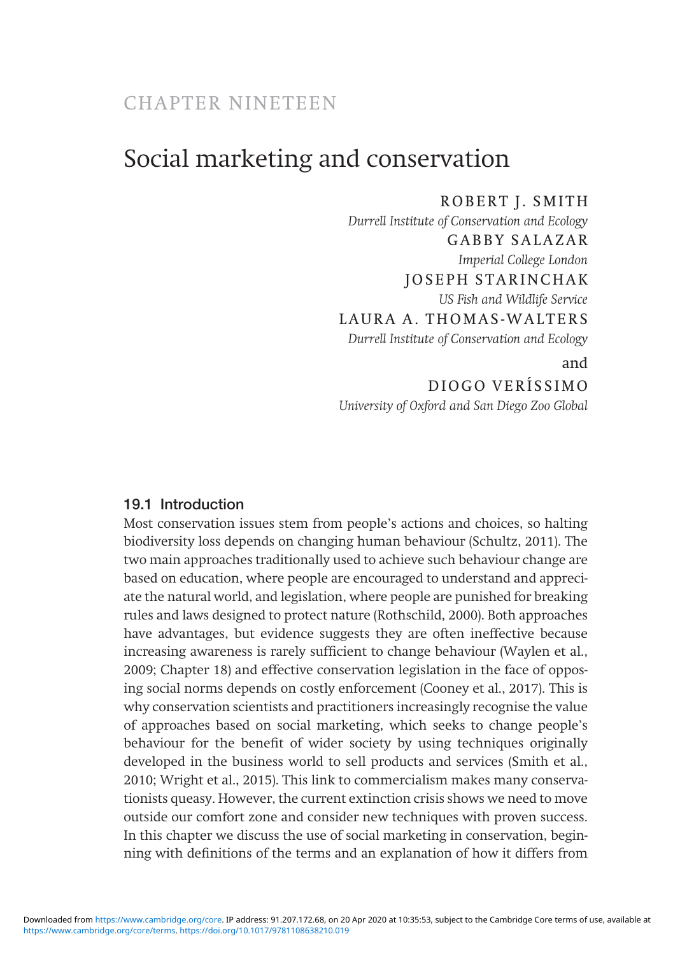# Social marketing and conservation

ROBERT J. SMITH

Durrell Institute of Conservation and Ecology GABBY SALAZAR Imperial College London JOSEPH STARINCHAK US Fish and Wildlife Service LAURA A. THOMAS-WALTERS Durrell Institute of Conservation and Ecology

and

DIOGO VERÍSSIMO University of Oxford and San Diego Zoo Global

#### 19.1 Introduction

Most conservation issues stem from people's actions and choices, so halting biodiversity loss depends on changing human behaviour (Schultz, 2011). The two main approaches traditionally used to achieve such behaviour change are based on education, where people are encouraged to understand and appreciate the natural world, and legislation, where people are punished for breaking rules and laws designed to protect nature (Rothschild, 2000). Both approaches have advantages, but evidence suggests they are often ineffective because increasing awareness is rarely sufficient to change behaviour (Waylen et al., 2009; Chapter 18) and effective conservation legislation in the face of opposing social norms depends on costly enforcement (Cooney et al., 2017). This is why conservation scientists and practitioners increasingly recognise the value of approaches based on social marketing, which seeks to change people's behaviour for the benefit of wider society by using techniques originally developed in the business world to sell products and services (Smith et al., 2010; Wright et al., 2015). This link to commercialism makes many conservationists queasy. However, the current extinction crisis shows we need to move outside our comfort zone and consider new techniques with proven success. In this chapter we discuss the use of social marketing in conservation, beginning with definitions of the terms and an explanation of how it differs from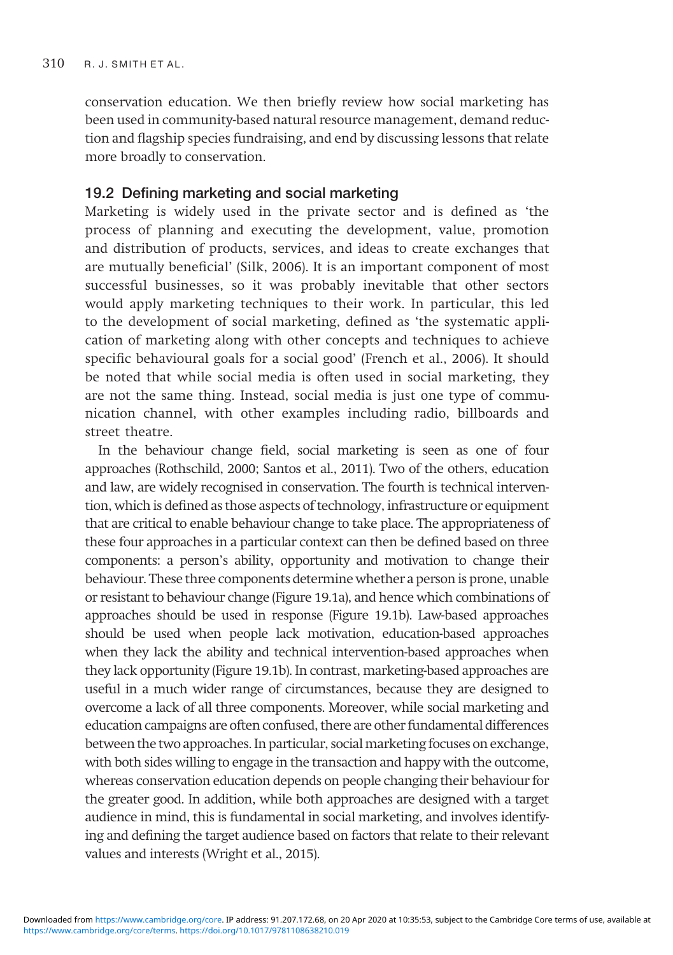conservation education. We then briefly review how social marketing has been used in community-based natural resource management, demand reduction and flagship species fundraising, and end by discussing lessons that relate more broadly to conservation.

## 19.2 Defining marketing and social marketing

Marketing is widely used in the private sector and is defined as 'the process of planning and executing the development, value, promotion and distribution of products, services, and ideas to create exchanges that are mutually beneficial' (Silk, 2006). It is an important component of most successful businesses, so it was probably inevitable that other sectors would apply marketing techniques to their work. In particular, this led to the development of social marketing, defined as 'the systematic application of marketing along with other concepts and techniques to achieve specific behavioural goals for a social good' (French et al., 2006). It should be noted that while social media is often used in social marketing, they are not the same thing. Instead, social media is just one type of communication channel, with other examples including radio, billboards and street theatre.

In the behaviour change field, social marketing is seen as one of four approaches (Rothschild, 2000; Santos et al., 2011). Two of the others, education and law, are widely recognised in conservation. The fourth is technical intervention, which is defined as those aspects of technology, infrastructure or equipment that are critical to enable behaviour change to take place. The appropriateness of these four approaches in a particular context can then be defined based on three components: a person's ability, opportunity and motivation to change their behaviour. These three components determine whether a person is prone, unable or resistant to behaviour change (Figure 19.1a), and hence which combinations of approaches should be used in response (Figure 19.1b). Law-based approaches should be used when people lack motivation, education-based approaches when they lack the ability and technical intervention-based approaches when they lack opportunity (Figure 19.1b). In contrast, marketing-based approaches are useful in a much wider range of circumstances, because they are designed to overcome a lack of all three components. Moreover, while social marketing and education campaigns are often confused, there are other fundamental differences between the two approaches. In particular, social marketing focuses on exchange, with both sides willing to engage in the transaction and happy with the outcome, whereas conservation education depends on people changing their behaviour for the greater good. In addition, while both approaches are designed with a target audience in mind, this is fundamental in social marketing, and involves identifying and defining the target audience based on factors that relate to their relevant values and interests (Wright et al., 2015).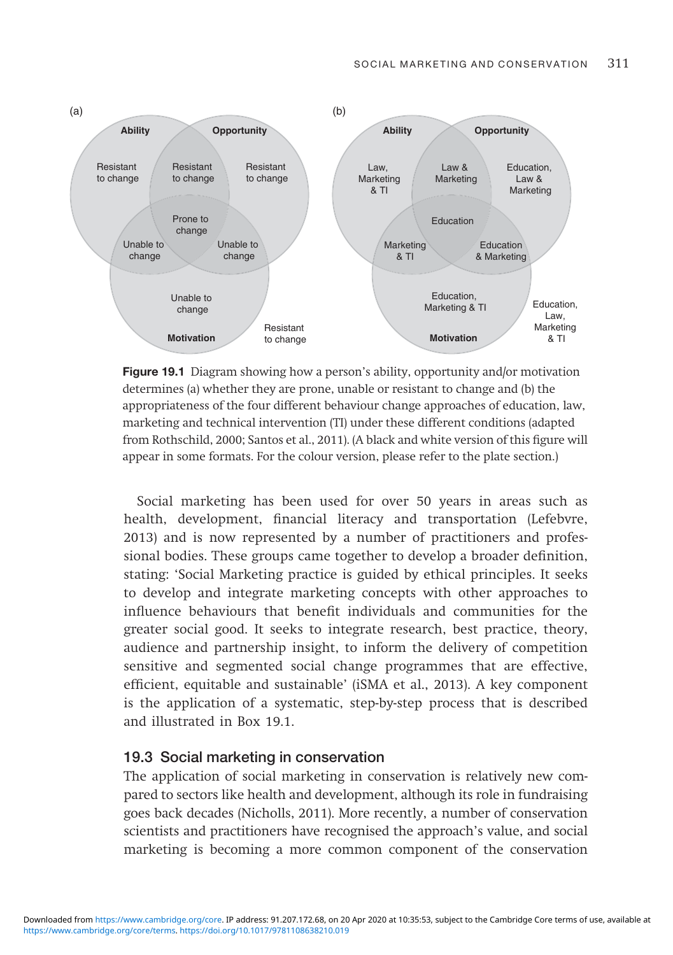

Figure 19.1 Diagram showing how a person's ability, opportunity and/or motivation determines (a) whether they are prone, unable or resistant to change and (b) the appropriateness of the four different behaviour change approaches of education, law, marketing and technical intervention (TI) under these different conditions (adapted from Rothschild, 2000; Santos et al., 2011). (A black and white version of this figure will appear in some formats. For the colour version, please refer to the plate section.)

Social marketing has been used for over 50 years in areas such as health, development, financial literacy and transportation (Lefebvre, 2013) and is now represented by a number of practitioners and professional bodies. These groups came together to develop a broader definition, stating: 'Social Marketing practice is guided by ethical principles. It seeks to develop and integrate marketing concepts with other approaches to influence behaviours that benefit individuals and communities for the greater social good. It seeks to integrate research, best practice, theory, audience and partnership insight, to inform the delivery of competition sensitive and segmented social change programmes that are effective, efficient, equitable and sustainable' (iSMA et al., 2013). A key component is the application of a systematic, step-by-step process that is described and illustrated in Box 19.1.

#### 19.3 Social marketing in conservation

The application of social marketing in conservation is relatively new compared to sectors like health and development, although its role in fundraising goes back decades (Nicholls, 2011). More recently, a number of conservation scientists and practitioners have recognised the approach's value, and social marketing is becoming a more common component of the conservation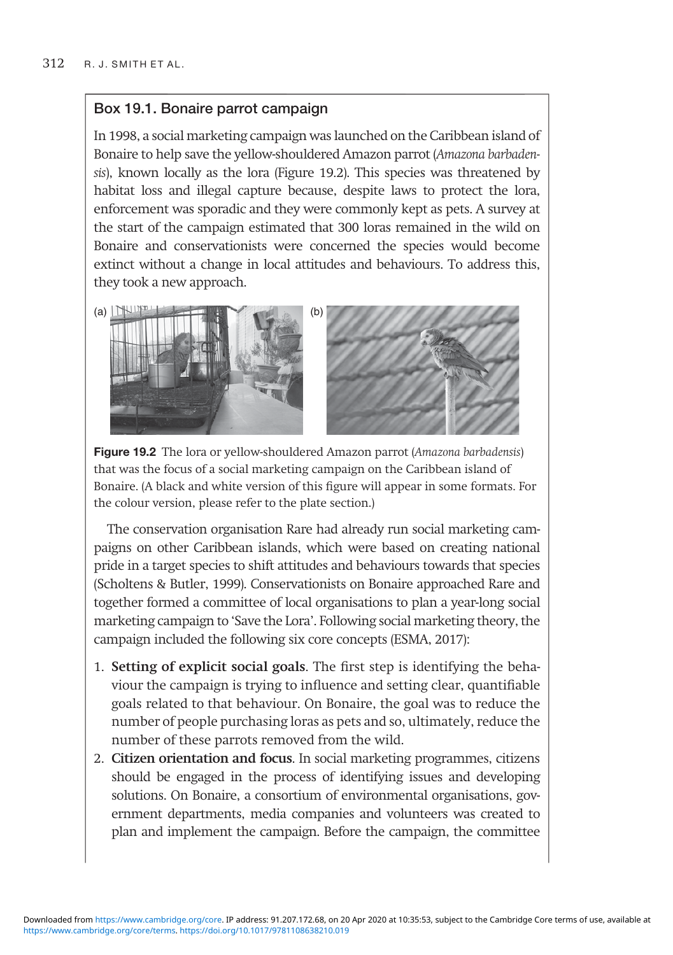## Box 19.1. Bonaire parrot campaign

In 1998, a social marketing campaign was launched on the Caribbean island of Bonaire to help save the yellow-shouldered Amazon parrot (Amazona barbadensis), known locally as the lora (Figure 19.2). This species was threatened by habitat loss and illegal capture because, despite laws to protect the lora, enforcement was sporadic and they were commonly kept as pets. A survey at the start of the campaign estimated that 300 loras remained in the wild on Bonaire and conservationists were concerned the species would become extinct without a change in local attitudes and behaviours. To address this, they took a new approach.



**Figure 19.2** The lora or yellow-shouldered Amazon parrot (Amazona barbadensis) that was the focus of a social marketing campaign on the Caribbean island of Bonaire. (A black and white version of this figure will appear in some formats. For the colour version, please refer to the plate section.)

The conservation organisation Rare had already run social marketing campaigns on other Caribbean islands, which were based on creating national pride in a target species to shift attitudes and behaviours towards that species (Scholtens & Butler, 1999). Conservationists on Bonaire approached Rare and together formed a committee of local organisations to plan a year-long social marketing campaign to 'Save the Lora'. Following social marketing theory, the campaign included the following six core concepts (ESMA, 2017):

- 1. Setting of explicit social goals. The first step is identifying the behaviour the campaign is trying to influence and setting clear, quantifiable goals related to that behaviour. On Bonaire, the goal was to reduce the number of people purchasing loras as pets and so, ultimately, reduce the number of these parrots removed from the wild.
- 2. Citizen orientation and focus. In social marketing programmes, citizens should be engaged in the process of identifying issues and developing solutions. On Bonaire, a consortium of environmental organisations, government departments, media companies and volunteers was created to plan and implement the campaign. Before the campaign, the committee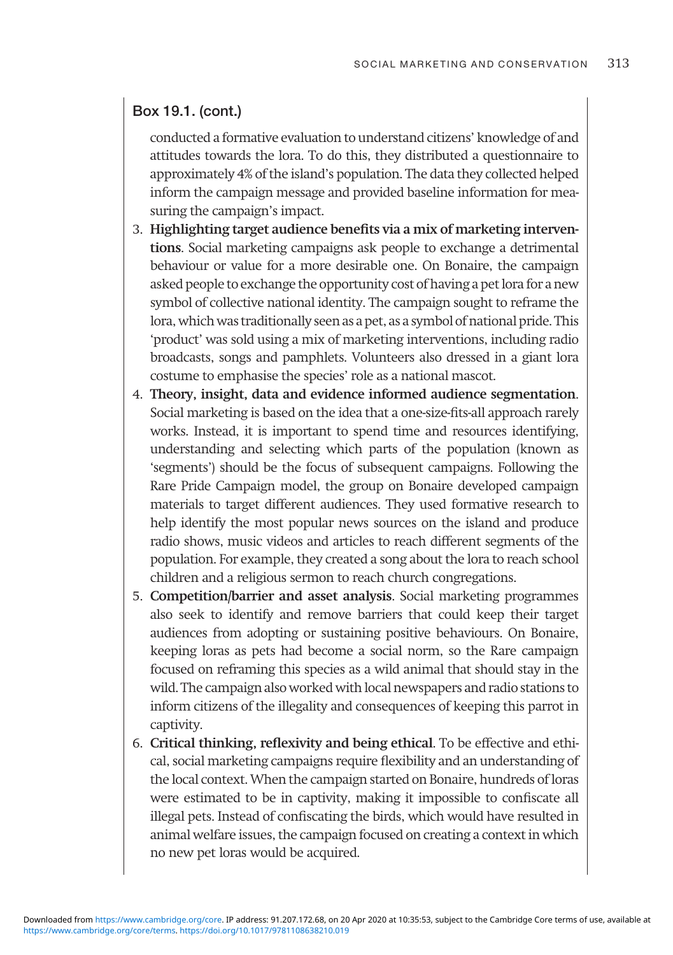## Box 19.1. (cont.)

conducted a formative evaluation to understand citizens' knowledge of and attitudes towards the lora. To do this, they distributed a questionnaire to approximately 4% of the island's population. The data they collected helped inform the campaign message and provided baseline information for measuring the campaign's impact.

- 3. Highlighting target audience benefits via a mix of marketing interventions. Social marketing campaigns ask people to exchange a detrimental behaviour or value for a more desirable one. On Bonaire, the campaign asked people to exchange the opportunity cost of having a pet lora for a new symbol of collective national identity. The campaign sought to reframe the lora, which was traditionally seen as a pet, as a symbol of national pride. This 'product' was sold using a mix of marketing interventions, including radio broadcasts, songs and pamphlets. Volunteers also dressed in a giant lora costume to emphasise the species' role as a national mascot.
- 4. Theory, insight, data and evidence informed audience segmentation. Social marketing is based on the idea that a one-size-fits-all approach rarely works. Instead, it is important to spend time and resources identifying, understanding and selecting which parts of the population (known as 'segments') should be the focus of subsequent campaigns. Following the Rare Pride Campaign model, the group on Bonaire developed campaign materials to target different audiences. They used formative research to help identify the most popular news sources on the island and produce radio shows, music videos and articles to reach different segments of the population. For example, they created a song about the lora to reach school children and a religious sermon to reach church congregations.
- 5. Competition/barrier and asset analysis. Social marketing programmes also seek to identify and remove barriers that could keep their target audiences from adopting or sustaining positive behaviours. On Bonaire, keeping loras as pets had become a social norm, so the Rare campaign focused on reframing this species as a wild animal that should stay in the wild. The campaign also worked with local newspapers and radio stations to inform citizens of the illegality and consequences of keeping this parrot in captivity.
- 6. Critical thinking, reflexivity and being ethical. To be effective and ethical, social marketing campaigns require flexibility and an understanding of the local context.When the campaign started on Bonaire, hundreds of loras were estimated to be in captivity, making it impossible to confiscate all illegal pets. Instead of confiscating the birds, which would have resulted in animal welfare issues, the campaign focused on creating a context in which no new pet loras would be acquired.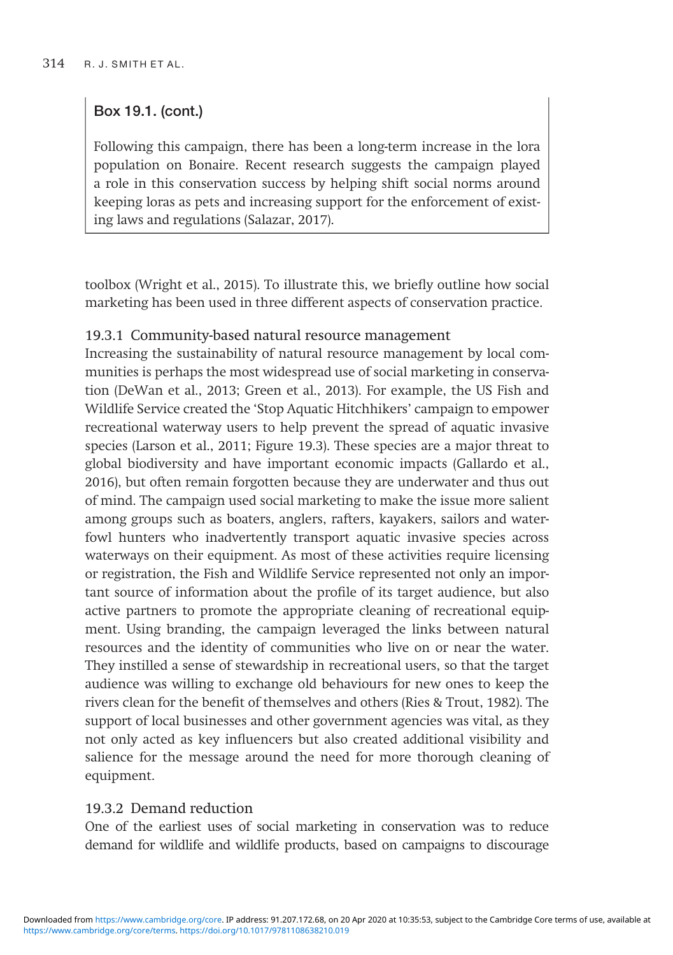## Box 19.1. (cont.)

Following this campaign, there has been a long-term increase in the lora population on Bonaire. Recent research suggests the campaign played a role in this conservation success by helping shift social norms around keeping loras as pets and increasing support for the enforcement of existing laws and regulations (Salazar, 2017).

toolbox (Wright et al., 2015). To illustrate this, we briefly outline how social marketing has been used in three different aspects of conservation practice.

## 19.3.1 Community-based natural resource management

Increasing the sustainability of natural resource management by local communities is perhaps the most widespread use of social marketing in conservation (DeWan et al., 2013; Green et al., 2013). For example, the US Fish and Wildlife Service created the 'Stop Aquatic Hitchhikers' campaign to empower recreational waterway users to help prevent the spread of aquatic invasive species (Larson et al., 2011; Figure 19.3). These species are a major threat to global biodiversity and have important economic impacts (Gallardo et al., 2016), but often remain forgotten because they are underwater and thus out of mind. The campaign used social marketing to make the issue more salient among groups such as boaters, anglers, rafters, kayakers, sailors and waterfowl hunters who inadvertently transport aquatic invasive species across waterways on their equipment. As most of these activities require licensing or registration, the Fish and Wildlife Service represented not only an important source of information about the profile of its target audience, but also active partners to promote the appropriate cleaning of recreational equipment. Using branding, the campaign leveraged the links between natural resources and the identity of communities who live on or near the water. They instilled a sense of stewardship in recreational users, so that the target audience was willing to exchange old behaviours for new ones to keep the rivers clean for the benefit of themselves and others (Ries & Trout, 1982). The support of local businesses and other government agencies was vital, as they not only acted as key influencers but also created additional visibility and salience for the message around the need for more thorough cleaning of equipment.

## 19.3.2 Demand reduction

One of the earliest uses of social marketing in conservation was to reduce demand for wildlife and wildlife products, based on campaigns to discourage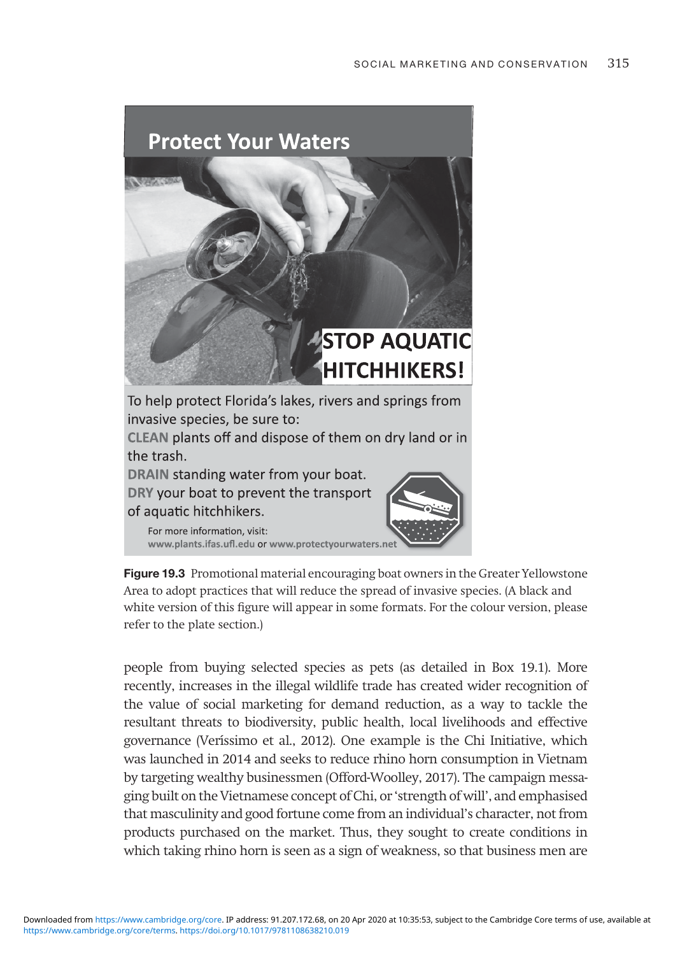

Figure 19.3 Promotional material encouraging boat owners in the Greater Yellowstone Area to adopt practices that will reduce the spread of invasive species. (A black and white version of this figure will appear in some formats. For the colour version, please refer to the plate section.)

people from buying selected species as pets (as detailed in Box 19.1). More recently, increases in the illegal wildlife trade has created wider recognition of the value of social marketing for demand reduction, as a way to tackle the resultant threats to biodiversity, public health, local livelihoods and effective governance (Veríssimo et al., 2012). One example is the Chi Initiative, which was launched in 2014 and seeks to reduce rhino horn consumption in Vietnam by targeting wealthy businessmen (Offord-Woolley, 2017). The campaign messaging built on the Vietnamese concept of Chi, or 'strength of will', and emphasised that masculinity and good fortune come from an individual's character, not from products purchased on the market. Thus, they sought to create conditions in which taking rhino horn is seen as a sign of weakness, so that business men are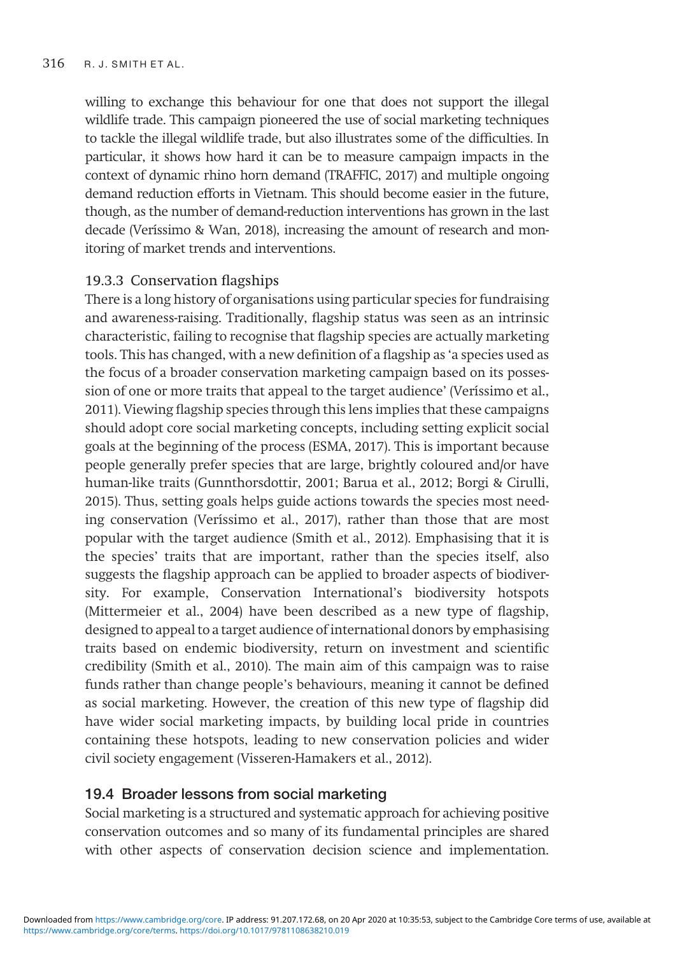willing to exchange this behaviour for one that does not support the illegal wildlife trade. This campaign pioneered the use of social marketing techniques to tackle the illegal wildlife trade, but also illustrates some of the difficulties. In particular, it shows how hard it can be to measure campaign impacts in the context of dynamic rhino horn demand (TRAFFIC, 2017) and multiple ongoing demand reduction efforts in Vietnam. This should become easier in the future, though, as the number of demand-reduction interventions has grown in the last decade (Veríssimo & Wan, 2018), increasing the amount of research and monitoring of market trends and interventions.

## 19.3.3 Conservation flagships

There is a long history of organisations using particular species for fundraising and awareness-raising. Traditionally, flagship status was seen as an intrinsic characteristic, failing to recognise that flagship species are actually marketing tools. This has changed, with a new definition of a flagship as 'a species used as the focus of a broader conservation marketing campaign based on its possession of one or more traits that appeal to the target audience' (Verissimo et al., 2011). Viewing flagship species through this lens implies that these campaigns should adopt core social marketing concepts, including setting explicit social goals at the beginning of the process (ESMA, 2017). This is important because people generally prefer species that are large, brightly coloured and/or have human-like traits (Gunnthorsdottir, 2001; Barua et al., 2012; Borgi & Cirulli, 2015). Thus, setting goals helps guide actions towards the species most needing conservation (Veríssimo et al., 2017), rather than those that are most popular with the target audience (Smith et al., 2012). Emphasising that it is the species' traits that are important, rather than the species itself, also suggests the flagship approach can be applied to broader aspects of biodiversity. For example, Conservation International's biodiversity hotspots (Mittermeier et al., 2004) have been described as a new type of flagship, designed to appeal to a target audience of international donors by emphasising traits based on endemic biodiversity, return on investment and scientific credibility (Smith et al., 2010). The main aim of this campaign was to raise funds rather than change people's behaviours, meaning it cannot be defined as social marketing. However, the creation of this new type of flagship did have wider social marketing impacts, by building local pride in countries containing these hotspots, leading to new conservation policies and wider civil society engagement (Visseren-Hamakers et al., 2012).

## 19.4 Broader lessons from social marketing

Social marketing is a structured and systematic approach for achieving positive conservation outcomes and so many of its fundamental principles are shared with other aspects of conservation decision science and implementation.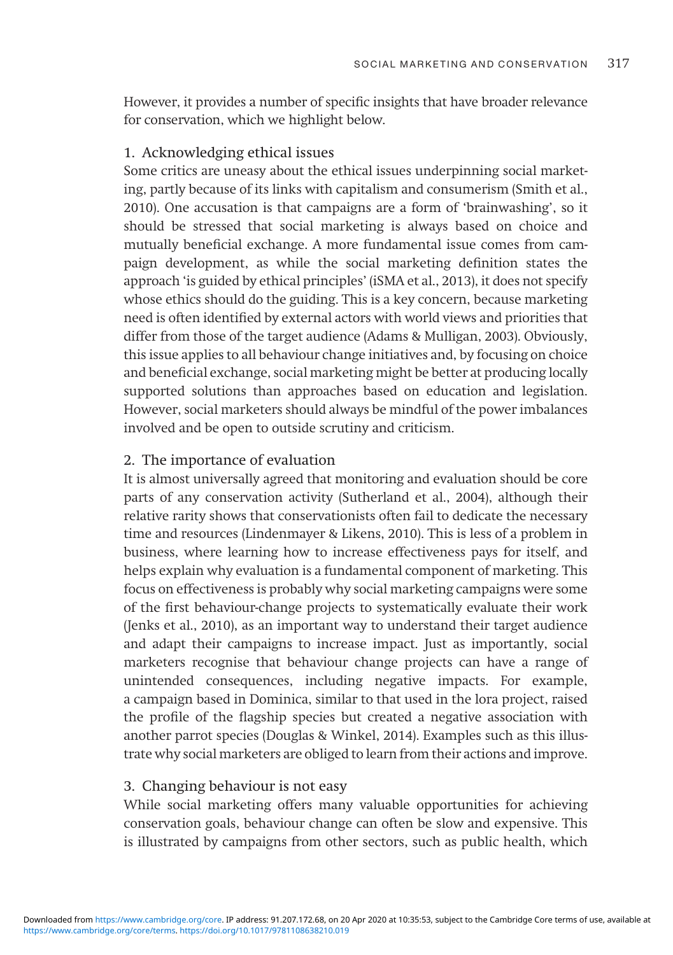However, it provides a number of specific insights that have broader relevance for conservation, which we highlight below.

#### 1. Acknowledging ethical issues

Some critics are uneasy about the ethical issues underpinning social marketing, partly because of its links with capitalism and consumerism (Smith et al., 2010). One accusation is that campaigns are a form of 'brainwashing', so it should be stressed that social marketing is always based on choice and mutually beneficial exchange. A more fundamental issue comes from campaign development, as while the social marketing definition states the approach 'is guided by ethical principles' (iSMA et al., 2013), it does not specify whose ethics should do the guiding. This is a key concern, because marketing need is often identified by external actors with world views and priorities that differ from those of the target audience (Adams & Mulligan, 2003). Obviously, this issue applies to all behaviour change initiatives and, by focusing on choice and beneficial exchange, social marketing might be better at producing locally supported solutions than approaches based on education and legislation. However, social marketers should always be mindful of the power imbalances involved and be open to outside scrutiny and criticism.

#### 2. The importance of evaluation

It is almost universally agreed that monitoring and evaluation should be core parts of any conservation activity (Sutherland et al., 2004), although their relative rarity shows that conservationists often fail to dedicate the necessary time and resources (Lindenmayer & Likens, 2010). This is less of a problem in business, where learning how to increase effectiveness pays for itself, and helps explain why evaluation is a fundamental component of marketing. This focus on effectiveness is probably why social marketing campaigns were some of the first behaviour-change projects to systematically evaluate their work (Jenks et al., 2010), as an important way to understand their target audience and adapt their campaigns to increase impact. Just as importantly, social marketers recognise that behaviour change projects can have a range of unintended consequences, including negative impacts. For example, a campaign based in Dominica, similar to that used in the lora project, raised the profile of the flagship species but created a negative association with another parrot species (Douglas & Winkel, 2014). Examples such as this illustrate why social marketers are obliged to learn from their actions and improve.

#### 3. Changing behaviour is not easy

While social marketing offers many valuable opportunities for achieving conservation goals, behaviour change can often be slow and expensive. This is illustrated by campaigns from other sectors, such as public health, which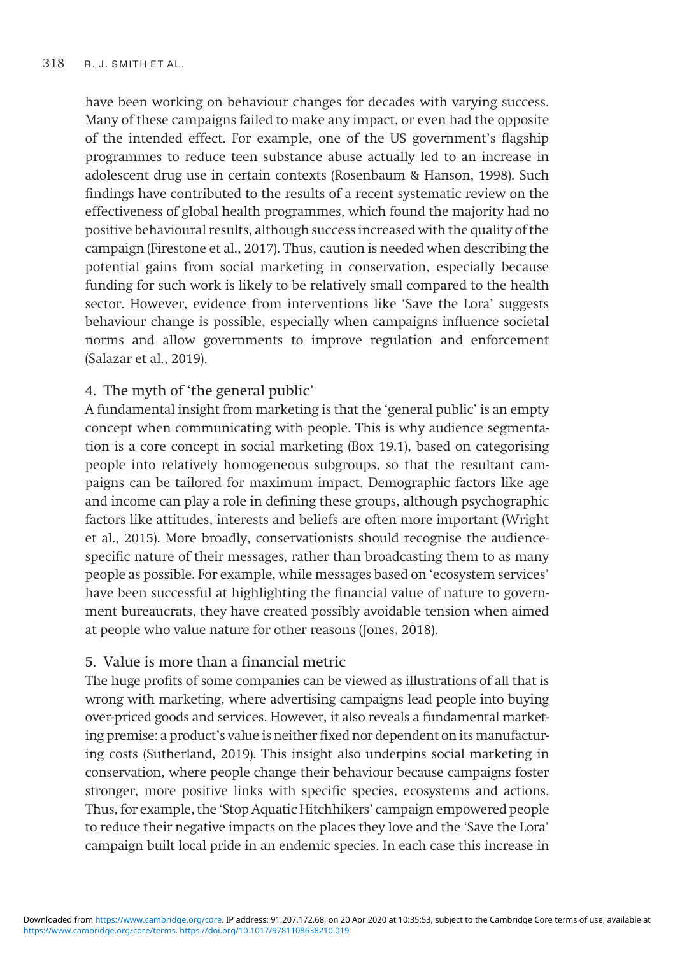have been working on behaviour changes for decades with varying success. Many of these campaigns failed to make any impact, or even had the opposite of the intended effect. For example, one of the US government's flagship programmes to reduce teen substance abuse actually led to an increase in adolescent drug use in certain contexts (Rosenbaum & Hanson, 1998). Such findings have contributed to the results of a recent systematic review on the effectiveness of global health programmes, which found the majority had no positive behavioural results, although success increased with the quality of the campaign (Firestone et al., 2017). Thus, caution is needed when describing the potential gains from social marketing in conservation, especially because funding for such work is likely to be relatively small compared to the health sector. However, evidence from interventions like 'Save the Lora' suggests behaviour change is possible, especially when campaigns influence societal norms and allow governments to improve regulation and enforcement (Salazar et al., 2019).

## 4. The myth of 'the general public'

A fundamental insight from marketing is that the 'general public' is an empty concept when communicating with people. This is why audience segmentation is a core concept in social marketing (Box 19.1), based on categorising people into relatively homogeneous subgroups, so that the resultant campaigns can be tailored for maximum impact. Demographic factors like age and income can play a role in defining these groups, although psychographic factors like attitudes, interests and beliefs are often more important (Wright et al., 2015). More broadly, conservationists should recognise the audiencespecific nature of their messages, rather than broadcasting them to as many people as possible. For example, while messages based on 'ecosystem services' have been successful at highlighting the financial value of nature to government bureaucrats, they have created possibly avoidable tension when aimed at people who value nature for other reasons (Jones, 2018).

#### 5. Value is more than a financial metric

The huge profits of some companies can be viewed as illustrations of all that is wrong with marketing, where advertising campaigns lead people into buying over-priced goods and services. However, it also reveals a fundamental marketing premise: a product's value is neither fixed nor dependent on its manufacturing costs (Sutherland, 2019). This insight also underpins social marketing in conservation, where people change their behaviour because campaigns foster stronger, more positive links with specific species, ecosystems and actions. Thus, for example, the 'Stop Aquatic Hitchhikers' campaign empowered people to reduce their negative impacts on the places they love and the 'Save the Lora' campaign built local pride in an endemic species. In each case this increase in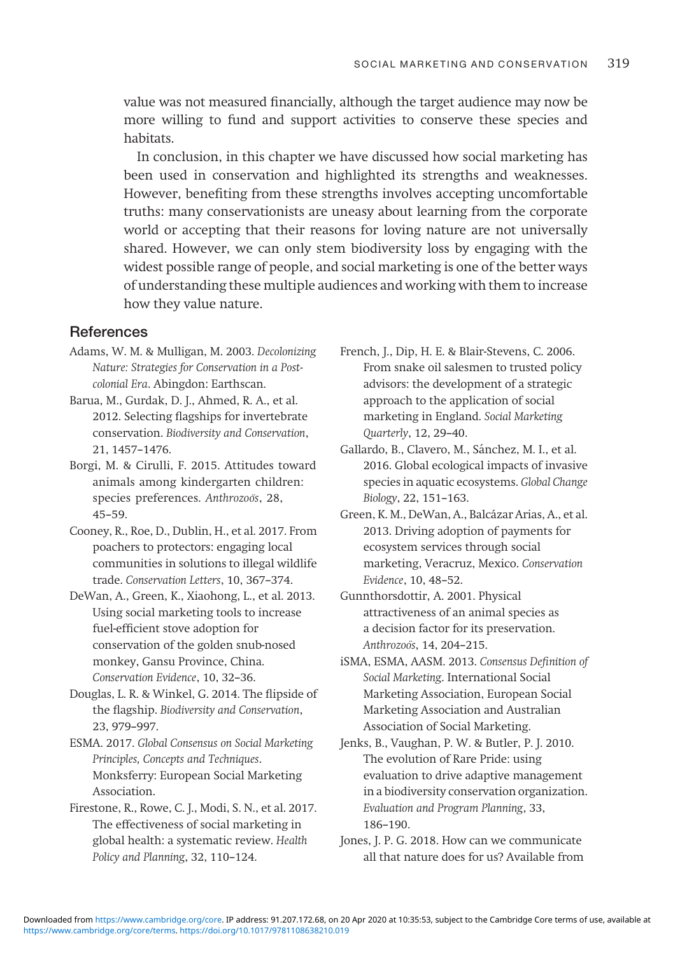value was not measured financially, although the target audience may now be more willing to fund and support activities to conserve these species and habitats.

In conclusion, in this chapter we have discussed how social marketing has been used in conservation and highlighted its strengths and weaknesses. However, benefiting from these strengths involves accepting uncomfortable truths: many conservationists are uneasy about learning from the corporate world or accepting that their reasons for loving nature are not universally shared. However, we can only stem biodiversity loss by engaging with the widest possible range of people, and social marketing is one of the better ways of understanding these multiple audiences and working with them to increase how they value nature.

#### **References**

- Adams, W. M. & Mulligan, M. 2003. Decolonizing Nature: Strategies for Conservation in a Postcolonial Era. Abingdon: Earthscan.
- Barua, M., Gurdak, D. J., Ahmed, R. A., et al. 2012. Selecting flagships for invertebrate conservation. Biodiversity and Conservation, 21, 1457–1476.
- Borgi, M. & Cirulli, F. 2015. Attitudes toward animals among kindergarten children: species preferences. Anthrozoös, 28, 45–59.
- Cooney, R., Roe, D., Dublin, H., et al. 2017. From poachers to protectors: engaging local communities in solutions to illegal wildlife trade. Conservation Letters, 10, 367–374.
- DeWan, A., Green, K., Xiaohong, L., et al. 2013. Using social marketing tools to increase fuel-efficient stove adoption for conservation of the golden snub-nosed monkey, Gansu Province, China. Conservation Evidence, 10, 32–36.
- Douglas, L. R. & Winkel, G. 2014. The flipside of the flagship. Biodiversity and Conservation, 23, 979–997.
- ESMA. 2017. Global Consensus on Social Marketing Principles, Concepts and Techniques. Monksferry: European Social Marketing Association.
- Firestone, R., Rowe, C. J., Modi, S. N., et al. 2017. The effectiveness of social marketing in global health: a systematic review. Health Policy and Planning, 32, 110–124.
- French, J., Dip, H. E. & Blair-Stevens, C. 2006. From snake oil salesmen to trusted policy advisors: the development of a strategic approach to the application of social marketing in England. Social Marketing Quarterly, 12, 29–40.
- Gallardo, B., Clavero, M., Sánchez, M. I., et al. 2016. Global ecological impacts of invasive species in aquatic ecosystems. Global Change Biology, 22, 151–163.
- Green, K. M., DeWan, A., Balcázar Arias, A., et al. 2013. Driving adoption of payments for ecosystem services through social marketing, Veracruz, Mexico. Conservation Evidence, 10, 48–52.
- Gunnthorsdottir, A. 2001. Physical attractiveness of an animal species as a decision factor for its preservation. Anthrozoös, 14, 204-215.
- iSMA, ESMA, AASM. 2013. Consensus Definition of Social Marketing. International Social Marketing Association, European Social Marketing Association and Australian Association of Social Marketing.
- Jenks, B., Vaughan, P. W. & Butler, P. J. 2010. The evolution of Rare Pride: using evaluation to drive adaptive management in a biodiversity conservation organization. Evaluation and Program Planning, 33, 186–190.
- Jones, J. P. G. 2018. How can we communicate all that nature does for us? Available from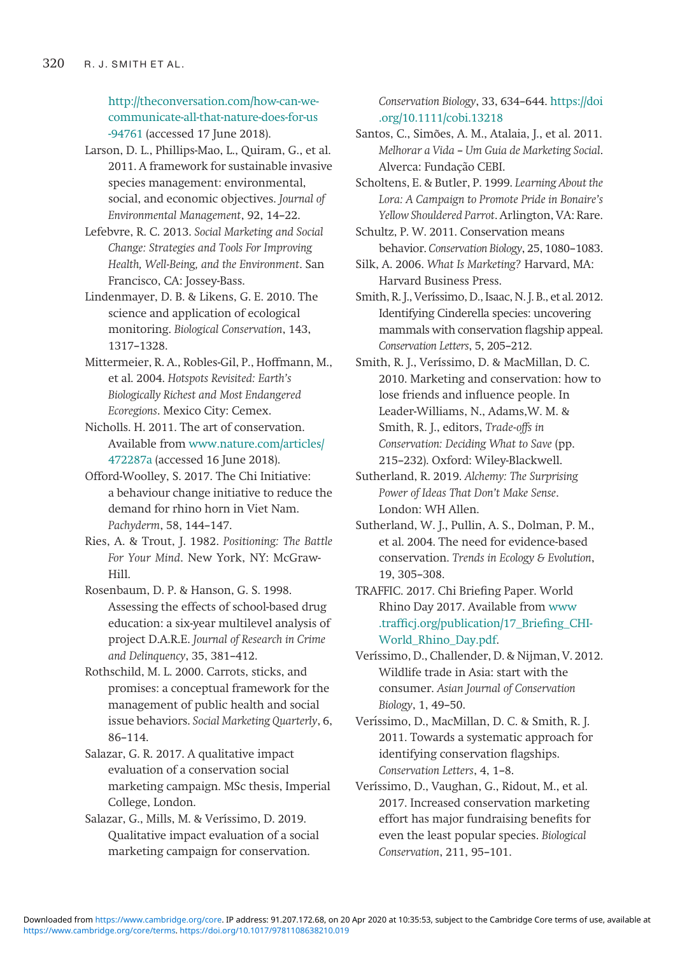[http://theconversation.com/how-can-we](http://theconversation.com/how-can-we-communicate-all-that-nature-does-for-us-94761)[communicate-all-that-nature-does-for-us](http://theconversation.com/how-can-we-communicate-all-that-nature-does-for-us-94761) [-94761](http://theconversation.com/how-can-we-communicate-all-that-nature-does-for-us-94761) (accessed 17 June 2018).

Larson, D. L., Phillips-Mao, L., Quiram, G., et al. 2011. A framework for sustainable invasive species management: environmental, social, and economic objectives. Journal of Environmental Management, 92, 14–22.

Lefebvre, R. C. 2013. Social Marketing and Social Change: Strategies and Tools For Improving Health, Well-Being, and the Environment. San Francisco, CA: Jossey-Bass.

Lindenmayer, D. B. & Likens, G. E. 2010. The science and application of ecological monitoring. Biological Conservation, 143, 1317–1328.

Mittermeier, R. A., Robles-Gil, P., Hoffmann, M., et al. 2004. Hotspots Revisited: Earth's Biologically Richest and Most Endangered Ecoregions. Mexico City: Cemex.

Nicholls. H. 2011. The art of conservation. Available from [www.nature.com/articles/](http://www.nature.com/articles/472287a) [472287a](http://www.nature.com/articles/472287a) (accessed 16 June 2018).

Offord-Woolley, S. 2017. The Chi Initiative: a behaviour change initiative to reduce the demand for rhino horn in Viet Nam. Pachyderm, 58, 144–147.

Ries, A. & Trout, J. 1982. Positioning: The Battle For Your Mind. New York, NY: McGraw-Hill.

Rosenbaum, D. P. & Hanson, G. S. 1998. Assessing the effects of school-based drug education: a six-year multilevel analysis of project D.A.R.E. Journal of Research in Crime and Delinquency, 35, 381–412.

Rothschild, M. L. 2000. Carrots, sticks, and promises: a conceptual framework for the management of public health and social issue behaviors. Social Marketing Quarterly, 6, 86–114.

Salazar, G. R. 2017. A qualitative impact evaluation of a conservation social marketing campaign. MSc thesis, Imperial College, London.

Salazar, G., Mills, M. & Veríssimo, D. 2019. Qualitative impact evaluation of a social marketing campaign for conservation.

Conservation Biology, 33, 634–644. [https://doi](https://doi.org/10.1111/cobi.13218) [.org/10.1111/cobi.13218](https://doi.org/10.1111/cobi.13218)

Santos, C., Simões, A. M., Atalaia, J., et al. 2011. Melhorar a Vida – Um Guia de Marketing Social. Alverca: Fundação CEBI.

Scholtens, E. & Butler, P. 1999. Learning About the Lora: A Campaign to Promote Pride in Bonaire's Yellow Shouldered Parrot. Arlington, VA: Rare.

Schultz, P. W. 2011. Conservation means behavior. Conservation Biology, 25, 1080–1083.

Silk, A. 2006. What Is Marketing? Harvard, MA: Harvard Business Press.

Smith, R. J., Veríssimo, D., Isaac, N. J. B., et al. 2012. Identifying Cinderella species: uncovering mammals with conservation flagship appeal. Conservation Letters, 5, 205–212.

Smith, R. J., Veríssimo, D. & MacMillan, D. C. 2010. Marketing and conservation: how to lose friends and influence people. In Leader-Williams, N., Adams,W. M. & Smith, R. J., editors, Trade-offs in Conservation: Deciding What to Save (pp. 215–232). Oxford: Wiley-Blackwell.

Sutherland, R. 2019. Alchemy: The Surprising Power of Ideas That Don't Make Sense. London: WH Allen.

Sutherland, W. J., Pullin, A. S., Dolman, P. M., et al. 2004. The need for evidence-based conservation. Trends in Ecology & Evolution, 19, 305–308.

TRAFFIC. 2017. Chi Briefing Paper. World Rhino Day 2017. Available from [www](http://www.trafficj.org/publication/17_Briefing_CHI-World_Rhino_Day.pdf) [.trafficj.org/publication/17\\_Briefing\\_CHI-](http://www.trafficj.org/publication/17_Briefing_CHI-World_Rhino_Day.pdf)[World\\_Rhino\\_Day.pdf.](http://www.trafficj.org/publication/17_Briefing_CHI-World_Rhino_Day.pdf)

Veríssimo, D., Challender, D. & Nijman, V. 2012. Wildlife trade in Asia: start with the consumer. Asian Journal of Conservation Biology, 1, 49–50.

Veríssimo, D., MacMillan, D. C. & Smith, R. J. 2011. Towards a systematic approach for identifying conservation flagships. Conservation Letters, 4, 1–8.

Veríssimo, D., Vaughan, G., Ridout, M., et al. 2017. Increased conservation marketing effort has major fundraising benefits for even the least popular species. Biological Conservation, 211, 95–101.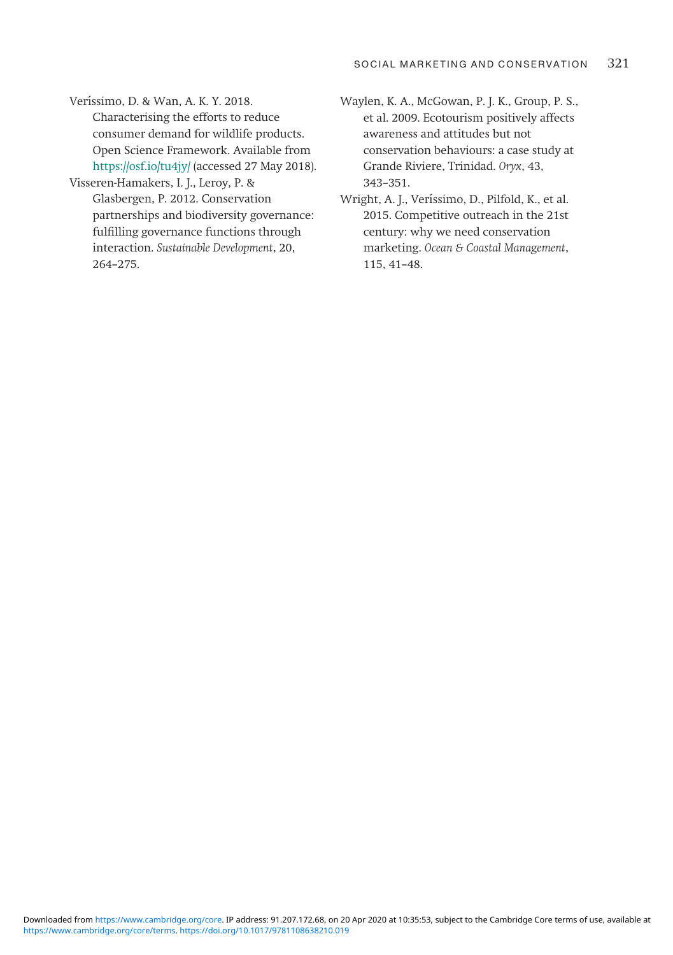Veríssimo, D. & Wan, A. K. Y. 2018. Characterising the efforts to reduce consumer demand for wildlife products. Open Science Framework. Available from <https://osf.io/tu4jy/> (accessed 27 May 2018).

Visseren-Hamakers, I. J., Leroy, P. & Glasbergen, P. 2012. Conservation partnerships and biodiversity governance: fulfilling governance functions through interaction. Sustainable Development, 20, 264–275.

Waylen, K. A., McGowan, P. J. K., Group, P. S., et al. 2009. Ecotourism positively affects awareness and attitudes but not conservation behaviours: a case study at Grande Riviere, Trinidad. Oryx, 43, 343–351.

Wright, A. J., Veríssimo, D., Pilfold, K., et al. 2015. Competitive outreach in the 21st century: why we need conservation marketing. Ocean & Coastal Management, 115, 41–48.